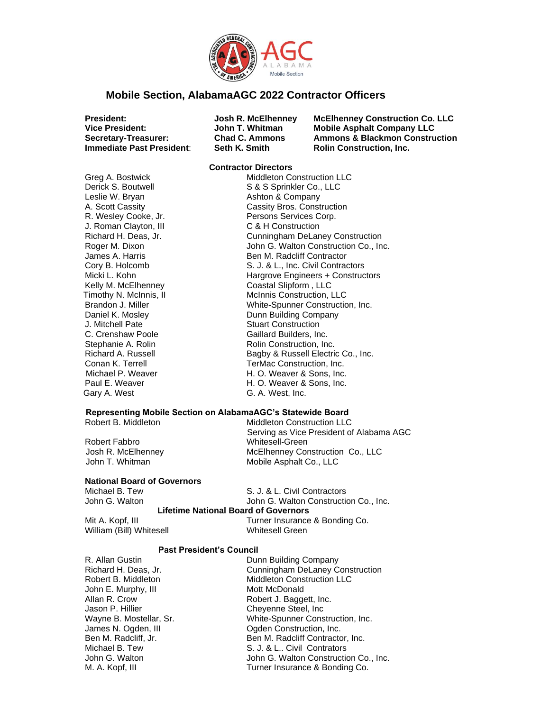

## **Mobile Section, AlabamaAGC 2022 Contractor Officers**

**Immediate Past President:** Seth K. Smith **Rolin Construction, Inc.** 

**President: Josh R. McElhenney McElhenney Construction Co. LLC Vice President: John T. Whitman Mobile Asphalt Company LLC Ammons & Blackmon Construction** 

Leslie W. Bryan **Ashton & Company**<br>
A. Scott Cassity **A. Scott Cassity** J. Roman Clayton, III C & H Construction<br>Richard H. Deas, Jr. Cunningham DeLan J. Mitchell Pate Stuart Construction

#### **Contractor Directors**

Greg A. Bostwick Middleton Construction LLC Derick S. Boutwell S & S Sprinkler Co., LLC Cassity Bros. Construction R. Wesley Cooke, Jr. Persons Services Corp. **Cunningham DeLaney Construction** Roger M. Dixon John G. Walton Construction Co., Inc. James A. Harris **Ben M. Radcliff Contractor** Cory B. Holcomb S. J. & L., Inc. Civil Contractors Micki L. Kohn **Hargrove Engineers + Constructors** Kelly M. McElhenney Coastal Slipform, LLC Timothy N. McInnis, II McInnis Construction, LLC Brandon J. Miller White-Spunner Construction, Inc. Daniel K. Mosley **Dunn Building Company** C. Crenshaw Poole Gaillard Builders, Inc. Stephanie A. Rolin **Rolin Construction**, Inc. Richard A. Russell **Bagby & Russell Electric Co., Inc.** Conan K. Terrell **TerMac Construction**, Inc. Michael P. Weaver **M. O. Weaver & Sons, Inc.** Paul E. Weaver **Fig. 20. Inc.** Paul E. Weaver & Sons, Inc. Gary A. West G. A. West, Inc.

### **Representing Mobile Section on AlabamaAGC's Statewide Board**

Robert B. Middleton **Middleton Construction LLC** 

Robert Fabbro Whitesell-Green Josh R. McElhenney McElhenney Construction Co., LLC John T. Whitman Mobile Asphalt Co., LLC

**National Board of Governors**

Michael B. Tew S. J. & L. Civil Contractors John G. Walton **John G. Walton Construction Co., Inc.** 

Serving as Vice President of Alabama AGC

### **Lifetime National Board of Governors**

William (Bill) Whitesell Whitesell Green

Mit A. Kopf, III **III** Turner Insurance & Bonding Co.

### **Past President's Council**

R. Allan Gustin **Dunn Building Company** Richard H. Deas, Jr. Cunningham DeLaney Construction John E. Murphy, III Mott McDonald Jason P. Hillier Chevenne Steel, Inc.

Robert B. Middleton Middleton Construction LLC Allan R. Crow Robert J. Baggett, Inc. Wayne B. Mostellar, Sr. White-Spunner Construction, Inc. James N. Ogden, III **Ogden Construction, Inc.**<br> **Ben M. Radcliff. Jr.** Ben M. Radcliff Contracto Ben M. Radcliff Contractor, Inc. Michael B. Tew S. J. & L.. Civil Contrators John G. Walton **John G. Walton Construction Co., Inc.** M. A. Kopf, III **No. 2. Except** Turner Insurance & Bonding Co.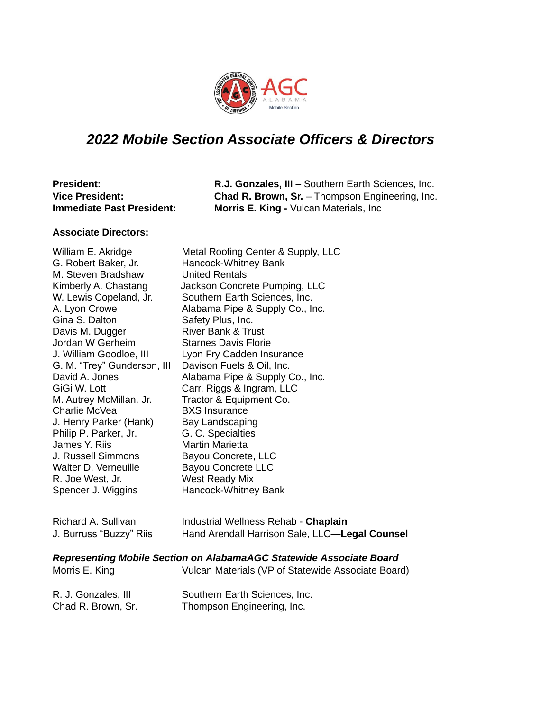

# *2022 Mobile Section Associate Officers & Directors*

| <b>President:</b>                | R.J. Gonzales, III - Southern Earth Sciences, Inc.     |
|----------------------------------|--------------------------------------------------------|
| <b>Vice President:</b>           | <b>Chad R. Brown, Sr.</b> – Thompson Engineering, Inc. |
| <b>Immediate Past President:</b> | <b>Morris E. King - Vulcan Materials, Inc.</b>         |

## **Associate Directors:**

| William E. Akridge          | Metal Roofing Center & Supply, LLC             |
|-----------------------------|------------------------------------------------|
| G. Robert Baker, Jr.        | Hancock-Whitney Bank                           |
| M. Steven Bradshaw          | <b>United Rentals</b>                          |
| Kimberly A. Chastang        | Jackson Concrete Pumping, LLC                  |
| W. Lewis Copeland, Jr.      | Southern Earth Sciences, Inc.                  |
| A. Lyon Crowe               | Alabama Pipe & Supply Co., Inc.                |
| Gina S. Dalton              | Safety Plus, Inc.                              |
| Davis M. Dugger             | <b>River Bank &amp; Trust</b>                  |
| Jordan W Gerheim            | <b>Starnes Davis Florie</b>                    |
| J. William Goodloe, III     | Lyon Fry Cadden Insurance                      |
| G. M. "Trey" Gunderson, III | Davison Fuels & Oil, Inc.                      |
| David A. Jones              | Alabama Pipe & Supply Co., Inc.                |
| GiGi W. Lott                | Carr, Riggs & Ingram, LLC                      |
| M. Autrey McMillan. Jr.     | Tractor & Equipment Co.                        |
| Charlie McVea               | <b>BXS</b> Insurance                           |
| J. Henry Parker (Hank)      | Bay Landscaping                                |
| Philip P. Parker, Jr.       | G. C. Specialties                              |
| James Y. Riis               | <b>Martin Marietta</b>                         |
| J. Russell Simmons          | Bayou Concrete, LLC                            |
| Walter D. Verneuille        | <b>Bayou Concrete LLC</b>                      |
| R. Joe West, Jr.            | West Ready Mix                                 |
| Spencer J. Wiggins          | Hancock-Whitney Bank                           |
|                             |                                                |
| Richard A. Sullivan         | Industrial Wellness Rehab - Chaplain           |
| J. Burruss "Buzzy" Riis     | Hand Arendall Harrison Sale, LLC-Legal Counsel |
|                             |                                                |

## *Representing Mobile Section on AlabamaAGC Statewide Associate Board*

| Morris E. King      | Vulcan Materials (VP of Statewide Associate Board) |
|---------------------|----------------------------------------------------|
| R. J. Gonzales, III | Southern Earth Sciences, Inc.                      |
| Chad R. Brown, Sr.  | Thompson Engineering, Inc.                         |